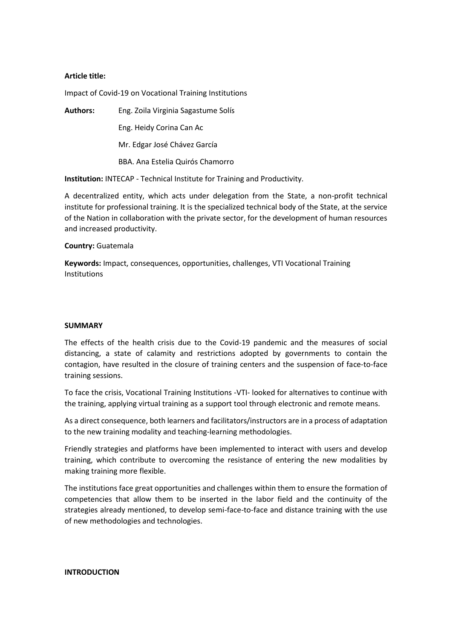### **Article title:**

Impact of Covid-19 on Vocational Training Institutions

**Authors:** Eng. Zoila Virginia Sagastume Solís Eng. Heidy Corina Can Ac Mr. Edgar José Chávez García BBA. Ana Estelia Quirós Chamorro

**Institution:** INTECAP - Technical Institute for Training and Productivity.

A decentralized entity, which acts under delegation from the State, a non-profit technical institute for professional training. It is the specialized technical body of the State, at the service of the Nation in collaboration with the private sector, for the development of human resources and increased productivity.

### **Country:** Guatemala

**Keywords:** Impact, consequences, opportunities, challenges, VTI Vocational Training Institutions

### **SUMMARY**

The effects of the health crisis due to the Covid-19 pandemic and the measures of social distancing, a state of calamity and restrictions adopted by governments to contain the contagion, have resulted in the closure of training centers and the suspension of face-to-face training sessions.

To face the crisis, Vocational Training Institutions -VTI- looked for alternatives to continue with the training, applying virtual training as a support tool through electronic and remote means.

As a direct consequence, both learners and facilitators/instructors are in a process of adaptation to the new training modality and teaching-learning methodologies.

Friendly strategies and platforms have been implemented to interact with users and develop training, which contribute to overcoming the resistance of entering the new modalities by making training more flexible.

The institutions face great opportunities and challenges within them to ensure the formation of competencies that allow them to be inserted in the labor field and the continuity of the strategies already mentioned, to develop semi-face-to-face and distance training with the use of new methodologies and technologies.

### **INTRODUCTION**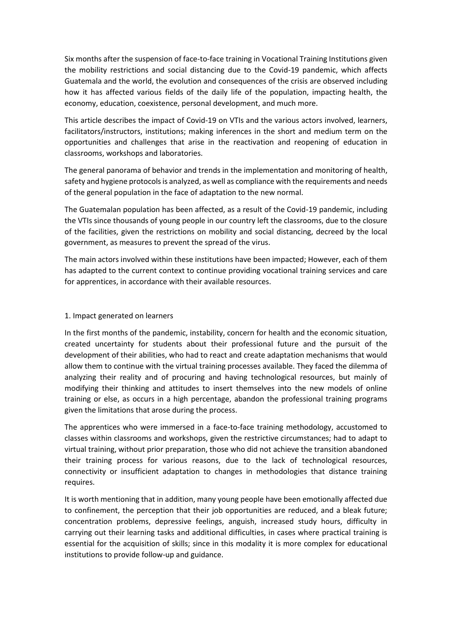Six months after the suspension of face-to-face training in Vocational Training Institutions given the mobility restrictions and social distancing due to the Covid-19 pandemic, which affects Guatemala and the world, the evolution and consequences of the crisis are observed including how it has affected various fields of the daily life of the population, impacting health, the economy, education, coexistence, personal development, and much more.

This article describes the impact of Covid-19 on VTIs and the various actors involved, learners, facilitators/instructors, institutions; making inferences in the short and medium term on the opportunities and challenges that arise in the reactivation and reopening of education in classrooms, workshops and laboratories.

The general panorama of behavior and trends in the implementation and monitoring of health, safety and hygiene protocols is analyzed, as well as compliance with the requirements and needs of the general population in the face of adaptation to the new normal.

The Guatemalan population has been affected, as a result of the Covid-19 pandemic, including the VTIs since thousands of young people in our country left the classrooms, due to the closure of the facilities, given the restrictions on mobility and social distancing, decreed by the local government, as measures to prevent the spread of the virus.

The main actors involved within these institutions have been impacted; However, each of them has adapted to the current context to continue providing vocational training services and care for apprentices, in accordance with their available resources.

## 1. Impact generated on learners

In the first months of the pandemic, instability, concern for health and the economic situation, created uncertainty for students about their professional future and the pursuit of the development of their abilities, who had to react and create adaptation mechanisms that would allow them to continue with the virtual training processes available. They faced the dilemma of analyzing their reality and of procuring and having technological resources, but mainly of modifying their thinking and attitudes to insert themselves into the new models of online training or else, as occurs in a high percentage, abandon the professional training programs given the limitations that arose during the process.

The apprentices who were immersed in a face-to-face training methodology, accustomed to classes within classrooms and workshops, given the restrictive circumstances; had to adapt to virtual training, without prior preparation, those who did not achieve the transition abandoned their training process for various reasons, due to the lack of technological resources, connectivity or insufficient adaptation to changes in methodologies that distance training requires.

It is worth mentioning that in addition, many young people have been emotionally affected due to confinement, the perception that their job opportunities are reduced, and a bleak future; concentration problems, depressive feelings, anguish, increased study hours, difficulty in carrying out their learning tasks and additional difficulties, in cases where practical training is essential for the acquisition of skills; since in this modality it is more complex for educational institutions to provide follow-up and guidance.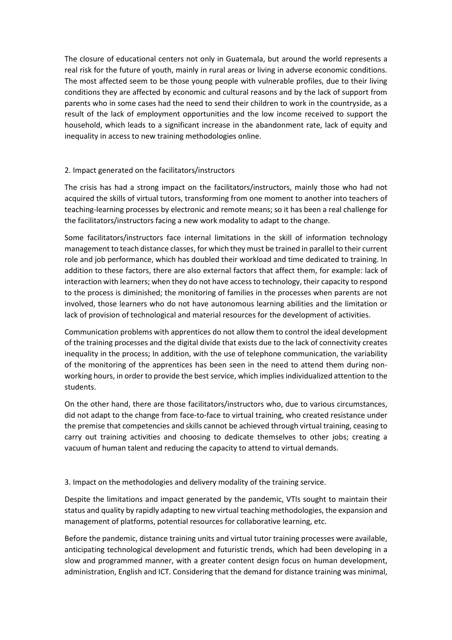The closure of educational centers not only in Guatemala, but around the world represents a real risk for the future of youth, mainly in rural areas or living in adverse economic conditions. The most affected seem to be those young people with vulnerable profiles, due to their living conditions they are affected by economic and cultural reasons and by the lack of support from parents who in some cases had the need to send their children to work in the countryside, as a result of the lack of employment opportunities and the low income received to support the household, which leads to a significant increase in the abandonment rate, lack of equity and inequality in access to new training methodologies online.

# 2. Impact generated on the facilitators/instructors

The crisis has had a strong impact on the facilitators/instructors, mainly those who had not acquired the skills of virtual tutors, transforming from one moment to another into teachers of teaching-learning processes by electronic and remote means; so it has been a real challenge for the facilitators/instructors facing a new work modality to adapt to the change.

Some facilitators/instructors face internal limitations in the skill of information technology management to teach distance classes, for which they must be trained in parallel to their current role and job performance, which has doubled their workload and time dedicated to training. In addition to these factors, there are also external factors that affect them, for example: lack of interaction with learners; when they do not have access to technology, their capacity to respond to the process is diminished; the monitoring of families in the processes when parents are not involved, those learners who do not have autonomous learning abilities and the limitation or lack of provision of technological and material resources for the development of activities.

Communication problems with apprentices do not allow them to control the ideal development of the training processes and the digital divide that exists due to the lack of connectivity creates inequality in the process; In addition, with the use of telephone communication, the variability of the monitoring of the apprentices has been seen in the need to attend them during nonworking hours, in order to provide the best service, which implies individualized attention to the students.

On the other hand, there are those facilitators/instructors who, due to various circumstances, did not adapt to the change from face-to-face to virtual training, who created resistance under the premise that competencies and skills cannot be achieved through virtual training, ceasing to carry out training activities and choosing to dedicate themselves to other jobs; creating a vacuum of human talent and reducing the capacity to attend to virtual demands.

### 3. Impact on the methodologies and delivery modality of the training service.

Despite the limitations and impact generated by the pandemic, VTIs sought to maintain their status and quality by rapidly adapting to new virtual teaching methodologies, the expansion and management of platforms, potential resources for collaborative learning, etc.

Before the pandemic, distance training units and virtual tutor training processes were available, anticipating technological development and futuristic trends, which had been developing in a slow and programmed manner, with a greater content design focus on human development, administration, English and ICT. Considering that the demand for distance training was minimal,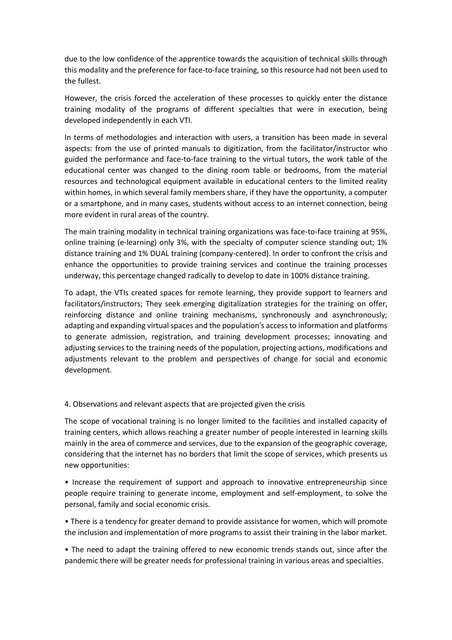due to the low confidence of the apprentice towards the acquisition of technical skills through this modality and the preference for face-to-face training, so this resource had not been used to the fullest.

However, the crisis forced the acceleration of these processes to quickly enter the distance training modality of the programs of different specialties that were in execution, being developed independently in each VTI.

In terms of methodologies and interaction with users, a transition has been made in several aspects: from the use of printed manuals to digitization, from the facilitator/instructor who guided the performance and face-to-face training to the virtual tutors, the work table of the educational center was changed to the dining room table or bedrooms, from the material resources and technological equipment available in educational centers to the limited reality within homes, in which several family members share, if they have the opportunity, a computer or a smartphone, and in many cases, students without access to an internet connection, being more evident in rural areas of the country.

The main training modality in technical training organizations was face-to-face training at 95%, online training (e-learning) only 3%, with the specialty of computer science standing out; 1% distance training and 1% DUAL training (company-centered). In order to confront the crisis and enhance the opportunities to provide training services and continue the training processes underway, this percentage changed radically to develop to date in 100% distance training.

To adapt, the VTIs created spaces for remote learning, they provide support to learners and facilitators/instructors; They seek emerging digitalization strategies for the training on offer, reinforcing distance and online training mechanisms, synchronously and asynchronously; adapting and expanding virtual spaces and the population's access to information and platforms to generate admission, registration, and training development processes; innovating and adjusting services to the training needs of the population, projecting actions, modifications and adjustments relevant to the problem and perspectives of change for social and economic development.

4. Observations and relevant aspects that are projected given the crisis

The scope of vocational training is no longer limited to the facilities and installed capacity of training centers, which allows reaching a greater number of people interested in learning skills mainly in the area of commerce and services, due to the expansion of the geographic coverage, considering that the internet has no borders that limit the scope of services, which presents us new opportunities:

• Increase the requirement of support and approach to innovative entrepreneurship since people require training to generate income, employment and self-employment, to solve the personal, family and social economic crisis.

• There is a tendency for greater demand to provide assistance for women, which will promote the inclusion and implementation of more programs to assist their training in the labor market.

• The need to adapt the training offered to new economic trends stands out, since after the pandemic there will be greater needs for professional training in various areas and specialties.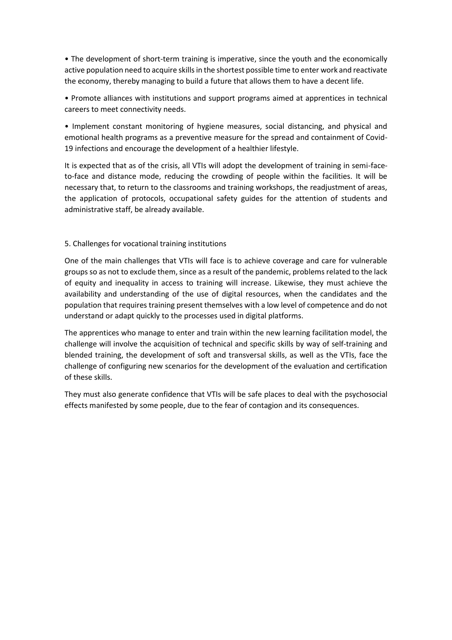• The development of short-term training is imperative, since the youth and the economically active population need to acquire skills in the shortest possible time to enter work and reactivate the economy, thereby managing to build a future that allows them to have a decent life.

• Promote alliances with institutions and support programs aimed at apprentices in technical careers to meet connectivity needs.

• Implement constant monitoring of hygiene measures, social distancing, and physical and emotional health programs as a preventive measure for the spread and containment of Covid-19 infections and encourage the development of a healthier lifestyle.

It is expected that as of the crisis, all VTIs will adopt the development of training in semi-faceto-face and distance mode, reducing the crowding of people within the facilities. It will be necessary that, to return to the classrooms and training workshops, the readjustment of areas, the application of protocols, occupational safety guides for the attention of students and administrative staff, be already available.

# 5. Challenges for vocational training institutions

One of the main challenges that VTIs will face is to achieve coverage and care for vulnerable groups so as not to exclude them, since as a result of the pandemic, problems related to the lack of equity and inequality in access to training will increase. Likewise, they must achieve the availability and understanding of the use of digital resources, when the candidates and the population that requires training present themselves with a low level of competence and do not understand or adapt quickly to the processes used in digital platforms.

The apprentices who manage to enter and train within the new learning facilitation model, the challenge will involve the acquisition of technical and specific skills by way of self-training and blended training, the development of soft and transversal skills, as well as the VTIs, face the challenge of configuring new scenarios for the development of the evaluation and certification of these skills.

They must also generate confidence that VTIs will be safe places to deal with the psychosocial effects manifested by some people, due to the fear of contagion and its consequences.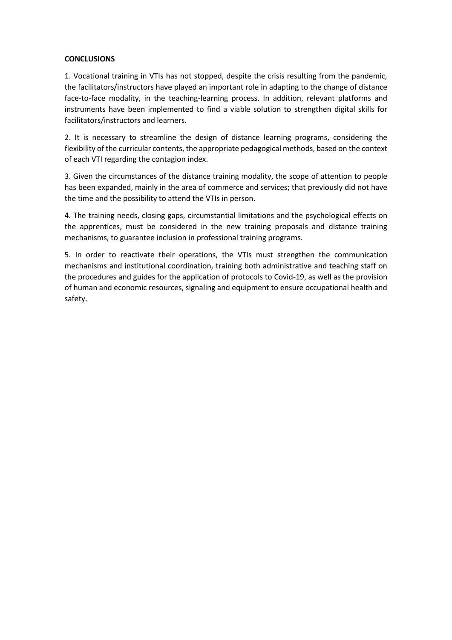# **CONCLUSIONS**

1. Vocational training in VTIs has not stopped, despite the crisis resulting from the pandemic, the facilitators/instructors have played an important role in adapting to the change of distance face-to-face modality, in the teaching-learning process. In addition, relevant platforms and instruments have been implemented to find a viable solution to strengthen digital skills for facilitators/instructors and learners.

2. It is necessary to streamline the design of distance learning programs, considering the flexibility of the curricular contents, the appropriate pedagogical methods, based on the context of each VTI regarding the contagion index.

3. Given the circumstances of the distance training modality, the scope of attention to people has been expanded, mainly in the area of commerce and services; that previously did not have the time and the possibility to attend the VTIs in person.

4. The training needs, closing gaps, circumstantial limitations and the psychological effects on the apprentices, must be considered in the new training proposals and distance training mechanisms, to guarantee inclusion in professional training programs.

5. In order to reactivate their operations, the VTIs must strengthen the communication mechanisms and institutional coordination, training both administrative and teaching staff on the procedures and guides for the application of protocols to Covid-19, as well as the provision of human and economic resources, signaling and equipment to ensure occupational health and safety.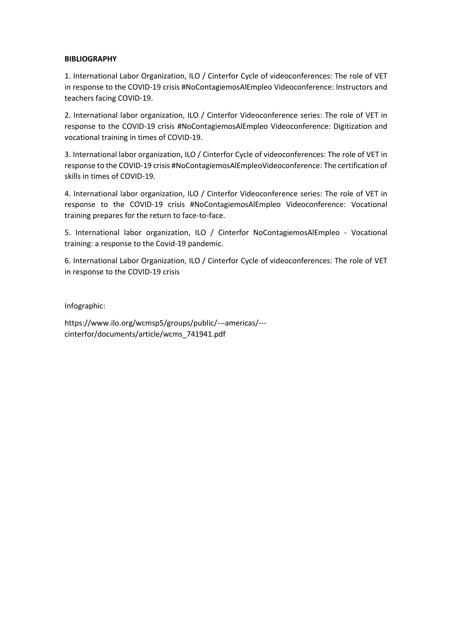### **BIBLIOGRAPHY**

1. International Labor Organization, ILO / Cinterfor Cycle of videoconferences: The role of VET in response to the COVID-19 crisis #NoContagiemosAlEmpleo Videoconference: Instructors and teachers facing COVID-19.

2. International labor organization, ILO / Cinterfor Videoconference series: The role of VET in response to the COVID-19 crisis #NoContagiemosAlEmpleo Videoconference: Digitization and vocational training in times of COVID-19.

3. International labor organization, ILO / Cinterfor Cycle of videoconferences: The role of VET in response to the COVID-19 crisis #NoContagiemosAlEmpleoVideoconference: The certification of skills in times of COVID-19.

4. International labor organization, ILO / Cinterfor Videoconference series: The role of VET in response to the COVID-19 crisis #NoContagiemosAlEmpleo Videoconference: Vocational training prepares for the return to face-to-face.

5. International labor organization, ILO / Cinterfor NoContagiemosAlEmpleo - Vocational training: a response to the Covid-19 pandemic.

6. International Labor Organization, ILO / Cinterfor Cycle of videoconferences: The role of VET in response to the COVID-19 crisis

Infographic:

https://www.ilo.org/wcmsp5/groups/public/---americas/-- cinterfor/documents/article/wcms\_741941.pdf